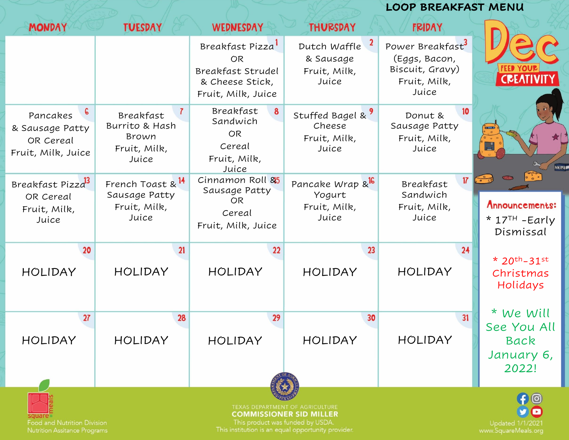|                                                                     |                                                                        |                                                                                                         |                                                                    |                                                                                           | <b>LOOP BREAKFAST MENU</b>                                                       |  |
|---------------------------------------------------------------------|------------------------------------------------------------------------|---------------------------------------------------------------------------------------------------------|--------------------------------------------------------------------|-------------------------------------------------------------------------------------------|----------------------------------------------------------------------------------|--|
| <b>MONDAY</b>                                                       | <b>TUESDAY</b>                                                         | <b>WEDNESDAY</b>                                                                                        | <b>THURSDAY</b>                                                    | <b>FRIDAY</b>                                                                             |                                                                                  |  |
|                                                                     |                                                                        | Breakfast Pizza <sup>1</sup><br><b>OR</b><br>Breakfast Strudel<br>& Cheese Stick,<br>Fruit, Milk, Juice | $\mathbf{z}$<br>Dutch Waffle<br>& Sausage<br>Fruit, Milk,<br>Juice | Power Breakfast <sup>3</sup><br>(Eggs, Bacon,<br>Biscuit, Gravy)<br>Fruit, Milk,<br>Juice |                                                                                  |  |
| 6<br>Pancakes<br>& Sausage Patty<br>OR Cereal<br>Fruit, Milk, Juice | Breakfast<br>Burrito & Hash<br>Brown<br>Fruit, Milk,<br>Juice          | Breakfast<br>Sandwich<br>OR.<br>Cereal<br>Fruit, Milk,<br>Juice                                         | Stuffed Bagel & 9<br>Cheese<br>Fruit, Milk,<br>Juice               | Donut &<br>Sausage Patty<br>Fruit, Milk,<br>Juice                                         | <b>MERRY</b>                                                                     |  |
| Breakfast Pizza <sup>3</sup><br>OR Cereal<br>Fruit, Milk,<br>Juice  | French Toast & <sup>14</sup><br>Sausage Patty<br>Fruit, Milk,<br>Juice | Cinnamon Roll 85<br>Sausage Patty<br><b>OR</b><br>Cereal<br>Fruit, Milk, Juice                          | Pancake Wrap & <sup>16</sup><br>Yogurt<br>Fruit, Milk,<br>Juice    | 17<br>Breakfast<br>Sandwich<br>Fruit, Milk,<br>Juice                                      | $\frac{1}{\cdot}$<br>Announcements:<br>$*$ 17 <sup>TH</sup> - Early<br>Dismissal |  |
| 20<br><b>HOLIDAY</b>                                                | 21<br><b>HOLIDAY</b>                                                   | 22<br><b>HOLIDAY</b>                                                                                    | 23<br><b>HOLIDAY</b>                                               | 24<br><b>HOLIDAY</b>                                                                      | * $20^{th} - 31^{st}$<br>Christmas<br>Holidays                                   |  |
| 27<br><b>HOLIDAY</b>                                                | 28<br><b>HOLIDAY</b>                                                   | 29<br><b>HOLIDAY</b>                                                                                    | 30<br><b>HOLIDAY</b>                                               | 31<br><b>HOLIDAY</b>                                                                      | * We Will<br>See You All<br>Back<br>January 6,<br>2022!                          |  |
| Food and Nutrition Division                                         |                                                                        | This product was funded by USDA.<br>This institution is an equal opportunity provider                   | TEXAS DEPARTMENT OF AGRICULTURE<br><b>COMMISSIONER SID MILLER</b>  |                                                                                           | $\Theta$<br><b>Updated 1/1/202</b>                                               |  |